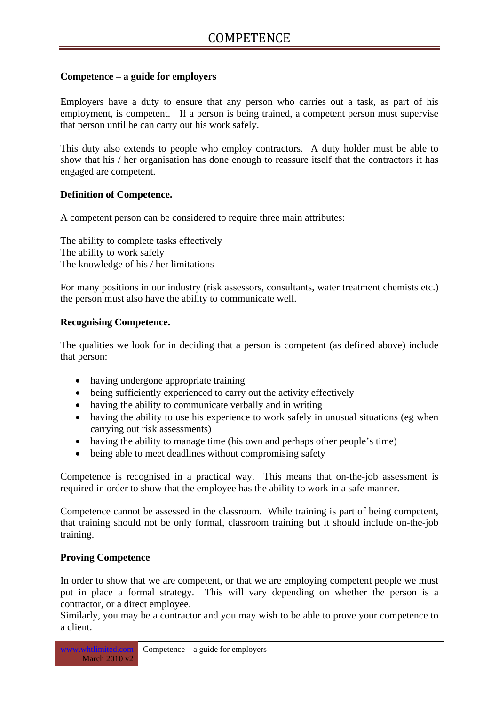# **Competence – a guide for employers**

Employers have a duty to ensure that any person who carries out a task, as part of his employment, is competent. If a person is being trained, a competent person must supervise that person until he can carry out his work safely.

This duty also extends to people who employ contractors. A duty holder must be able to show that his / her organisation has done enough to reassure itself that the contractors it has engaged are competent.

## **Definition of Competence.**

A competent person can be considered to require three main attributes:

The ability to complete tasks effectively The ability to work safely The knowledge of his / her limitations

For many positions in our industry (risk assessors, consultants, water treatment chemists etc.) the person must also have the ability to communicate well.

## **Recognising Competence.**

The qualities we look for in deciding that a person is competent (as defined above) include that person:

- having undergone appropriate training
- being sufficiently experienced to carry out the activity effectively
- having the ability to communicate verbally and in writing
- having the ability to use his experience to work safely in unusual situations (eg when carrying out risk assessments)
- having the ability to manage time (his own and perhaps other people's time)
- being able to meet deadlines without compromising safety

Competence is recognised in a practical way. This means that on-the-job assessment is required in order to show that the employee has the ability to work in a safe manner.

Competence cannot be assessed in the classroom. While training is part of being competent, that training should not be only formal, classroom training but it should include on-the-job training.

### **Proving Competence**

In order to show that we are competent, or that we are employing competent people we must put in place a formal strategy. This will vary depending on whether the person is a contractor, or a direct employee.

Similarly, you may be a contractor and you may wish to be able to prove your competence to a client.